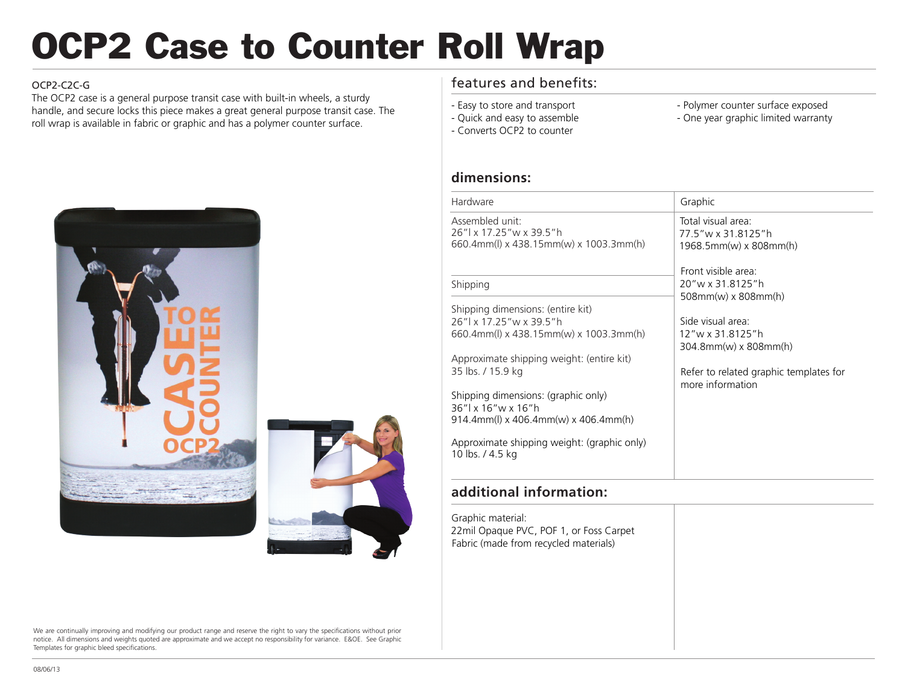# OCP2 Case to Counter Roll Wrap

#### OCP2-C2C-G

The OCP2 case is a general purpose transit case with built-in wheels, a sturdy handle, and secure locks this piece makes a great general purpose transit case. The roll wrap is available in fabric or graphic and has a polymer counter surface.





We are continually improving and modifying our product range and reserve the right to vary the specifications without prior notice. All dimensions and weights quoted are approximate and we accept no responsibility for variance. E&OE. See Graphic Templates for graphic bleed specifications.

## features and benefits:

- Easy to store and transport - Quick and easy to assemble

- Converts OCP2 to counter

- Polymer counter surface exposed
- One year graphic limited warranty

**dimensions:**

| Hardware                                                                             | Graphic                                                              |
|--------------------------------------------------------------------------------------|----------------------------------------------------------------------|
| Assembled unit:<br>26"l x 17.25"w x 39.5"h<br>660.4mm(l) x 438.15mm(w) x 1003.3mm(h) | Total visual area:<br>77.5" w x 31.8125" h<br>1968.5mm(w) x 808mm(h) |
|                                                                                      | Front visible area:                                                  |
| Shipping                                                                             | 20"w x 31.8125"h<br>$508mm(w)$ x 808mm(h)                            |
| Shipping dimensions: (entire kit)                                                    |                                                                      |
| 26"l x 17.25"w x 39.5"h                                                              | Side visual area:                                                    |
| 660.4mm(l) x 438.15mm(w) x 1003.3mm(h)                                               | 12"w x 31.8125"h                                                     |
|                                                                                      | 304 8mm(w) x 808mm(h)                                                |
| Approximate shipping weight: (entire kit)                                            |                                                                      |
| 35 lbs. / 15.9 kg                                                                    | Refer to related graphic templates for                               |
|                                                                                      | more information                                                     |
| Shipping dimensions: (graphic only)                                                  |                                                                      |
| 36"l x 16"w x 16"h<br>914.4mm(l) x 406.4mm(w) x 406.4mm(h)                           |                                                                      |
|                                                                                      |                                                                      |
| Approximate shipping weight: (graphic only)<br>10 lbs. / 4.5 kg                      |                                                                      |
|                                                                                      |                                                                      |

### **additional information:**

Graphic material: 22mil Opaque PVC, POF 1, or Foss Carpet Fabric (made from recycled materials)